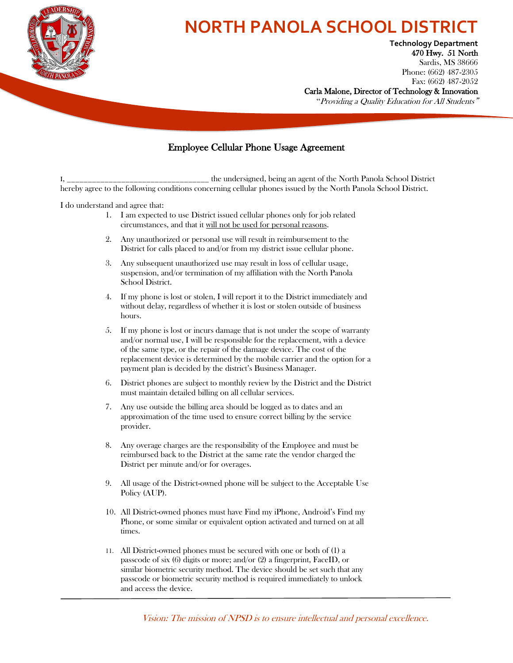

## **IORTH PANOLA SCHOOL DISTRIC**

**Phone:** (662) 487-2305 **Technology Department** 470 Hwy. 51 North Sardis, MS 38666 Fax: (662) 487-2052

Carla Malone, Director of Technology & Innovation

"Providing a Quality Education for All Students"

## Employee Cellular Phone Usage Agreement

the undersigned, being an agent of the North Panola School District hereby agree to the following conditions concerning cellular phones issued by the North Panola School District.

I do understand and agree that:

- 1. I am expected to use District issued cellular phones only for job related circumstances, and that it will not be used for personal reasons.
- 2. Any unauthorized or personal use will result in reimbursement to the District for calls placed to and/or from my district issue cellular phone.
- 3. Any subsequent unauthorized use may result in loss of cellular usage, suspension, and/or termination of my affiliation with the North Panola School District.
- 4. If my phone is lost or stolen, I will report it to the District immediately and without delay, regardless of whether it is lost or stolen outside of business hours.
- 5. If my phone is lost or incurs damage that is not under the scope of warranty and/or normal use, I will be responsible for the replacement, with a device of the same type, or the repair of the damage device. The cost of the replacement device is determined by the mobile carrier and the option for a payment plan is decided by the district's Business Manager.
- 6. District phones are subject to monthly review by the District and the District must maintain detailed billing on all cellular services.
- 7. Any use outside the billing area should be logged as to dates and an approximation of the time used to ensure correct billing by the service provider.
- 8. Any overage charges are the responsibility of the Employee and must be reimbursed back to the District at the same rate the vendor charged the District per minute and/or for overages.
- 9. All usage of the District-owned phone will be subject to the Acceptable Use Policy (AUP).
- 10. All District-owned phones must have Find my iPhone, Android's Find my Phone, or some similar or equivalent option activated and turned on at all times.
- 11. All District-owned phones must be secured with one or both of (1) a passcode of six (6) digits or more; and/or (2) a fingerprint, FaceID, or similar biometric security method. The device should be set such that any passcode or biometric security method is required immediately to unlock and access the device.